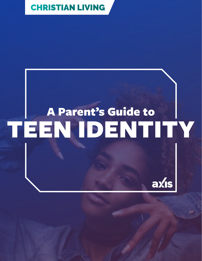## [CHRISTIAN LIVING](https://axis.org/parent-guides/#christianliving)

# A Parent's Guide to [TEEN IDENTITY](https://www.twenty20.com/photos/b291c269-7ad4-492b-bb18-a73a40ee31e4/?utm_t20_channel=bl)

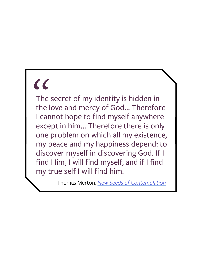# $\alpha$

The secret of my identity is hidden in the love and mercy of God… Therefore I cannot hope to find myself anywhere except in him… Therefore there is only one problem on which all my existence, my peace and my happiness depend: to discover myself in discovering God. If I find Him, I will find myself, and if I find my true self I will find him.

— Thomas Merton, *[New Seeds of Contemplation](https://www.amazon.com/New-Seeds-Contemplation-Thomas-Merton/dp/0811217248)*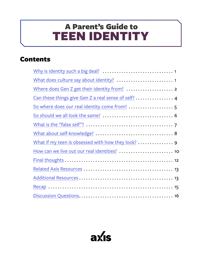# <span id="page-2-0"></span>TEEN IDENTITY A Parent's Guide to

### Contents

| Where does Gen Z get their identity from?  2                                |
|-----------------------------------------------------------------------------|
| Can these things give Gen Z a real sense of self?  4                        |
| So where does our real identity come from?  5                               |
|                                                                             |
|                                                                             |
|                                                                             |
| What if my teen is obsessed with how they look? $\dots\dots\dots\dots\dots$ |
| How can we live out our real identities?  10                                |
|                                                                             |
|                                                                             |
|                                                                             |
|                                                                             |
|                                                                             |

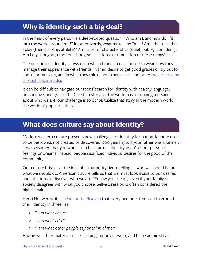### <span id="page-3-0"></span>**Why is identity such a big deal?**

In the heart of every person is a deep-rooted question: "Who am I, and how do I fit into the world around me?" In other words, what makes me "me"? Am I the roles that I play (friend, sibling, athlete)? Am I a set of characteristics (quiet, bubbly, confident)? Am I my thoughts, emotions, body, soul, actions...a summation of these things?

The question of identity shows up in which brands teens choose to wear, how they manage their appearance with friends, in their desire to get good grades or try out for sports or musicals, and in what they think about themselves and others while scrolling [through social media.](http://genhq.com/wp-content/uploads/2016/01/iGen-Gen-Z-Tech-Disruption-Research-White-Paper-c-2016-Center-for-Generational-Kinetics.pdf)

It can be difficult to navigate our teens' search for identity with healthy language, perspective, and grace. The Christian story for the world has a stunning message about who we are; our challenge is to contextualize that story in the modern world, the world of popular culture.

#### **What does culture say about identity?**

Modern western culture presents new challenges for identity formation. Identity used to be bestowed, not created or discovered. 200 years ago, if your father was a farmer, it was assumed that you would also be a farmer. Identity wasn't about personal feelings or dreams. Instead, people sacrificed individual desires for the good of the community.

Our culture bristles at the idea of an authority figure telling us who we should be or what we should do. American culture tells us that we must look inside to our desires and intuitions to discover who we are. "Follow your heart," even if your family or society disagrees with what you choose. Self-expression is often considered the highest value.

Henri Nouwen writes in *[Life of the Beloved](https://www.amazon.com/Life-Beloved-Spiritual-Living-Secular/dp/0824519868)* that every person is tempted to ground their identity in three lies:

- *1. "I am what I have."*
- *2. "I am what I do."*
- *3. "I am what other people say or think of me."*

Having wealth or material success, doing important work, and being admired can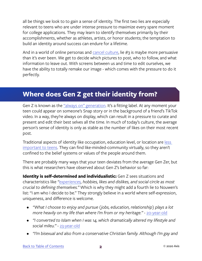<span id="page-4-0"></span>all be things we look to to gain a sense of identity. The first two lies are especially relevant to teens who are under intense pressure to maximize every spare moment for college applications. They may learn to identify themselves primarily by their accomplishments, whether as athletes, artists, or honor students; the temptation to build an identity around success can endure for a lifetime.

And in a world of online personas and [cancel culture,](https://en.wikipedia.org/wiki/Online_shaming#:~:text=The act of canceling%2C also,offensive recorded on social media) lie #3 is maybe more persuasive than it's ever been. We get to decide which pictures to post, who to follow, and what information to leave out. With screens between us and time to edit ourselves, we have the ability to totally remake our image - which comes with the pressure to do it perfectly.

#### **Where does Gen Z get their identity from?**

Gen Z is known as the ["always on" generation](https://www.prismteam.com/news/gen-z-the-first-truly-digital-always-on-generation/). It's a fitting label. At any moment your teen could appear on someone's Snap story or in the background of a friend's TikTok video. In a way, they're always on display, which can result in a pressure to curate and present and edit their best selves all the time. In much of today's culture, the average person's sense of identity is only as stable as the number of likes on their most recent post.

Traditional aspects of identity like occupation, education level, or location are [less](https://dscout.com/people-nerds/gen-z-identity)  [important to teens.](https://dscout.com/people-nerds/gen-z-identity) They can find like-minded-community virtually, so they aren't confined to the belief systems or values of the people around them.

There are probably many ways that your teen deviates from the average Gen Zer, but this is what researchers have observed about Gen Z's behavior so far:

**Identity is self-determined and individualistic:** Gen Z sees situations and characteristics like *"[experiences](https://dscout.com/people-nerds/gen-z-identity), hobbies, likes and dislikes, and social circle as most crucial to defining themselves."* Which is why they might add a fourth lie to Nouwen's list: "I am who I decide to be." They strongly believe in a world where self-expression, uniqueness, and difference is welcome.

- *• "What I choose to enjoy and pursue (jobs, education, relationship) plays a lot more heavily on my life than where I'm from or my heritage."* - [20-year-old](https://dscout.com/people-nerds/gen-z-identity)
- *• "I converted to Islam when I was 14, which dramatically altered my lifestyle and social mileu."* - [23-year-old](https://www.nytimes.com/interactive/2019/us/generation-z.html?action=click&module=RelatedLinks&pgtype=Article#78)
- *• "I'm bisexual and also from a conservative Christian family. Although I'm gay and*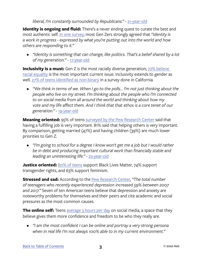#### *liberal, I'm constantly surrounded by Republicans."* - [21-year-old](https://www.nytimes.com/interactive/2019/us/generation-z.html?action=click&module=RelatedLinks&pgtype=Article#79)

**Identity is ongoing and fluid:** There's a never ending quest to curate the best and most authentic self. [In one survey,](https://dscout.com/people-nerds/gen-z-identity) most Gen Zers strongly agreed that *"identity is a work in progress - expressed by what you're putting out into the world and how others are responding to it."* 

*• "Identity is something that can change, like politics. That's a belief shared by a lot of my generation."* - [17-year-old](https://www.nytimes.com/2019/03/28/us/gen-z-in-their-words.html)

**Inclusivity is a must:** Gen Z is the most racially diverse generation; 72% believe [racial equality](https://www.lexology.com/library/detail.aspx?g=cb59711e-1531-49c4-b4ca-2665afebc97f) is the most important current issue. Inclusivity extends to gender as well. [27% of teens identified as non-binary](https://www.lexology.com/library/detail.aspx?g=cb59711e-1531-49c4-b4ca-2665afebc97f) in a survey done in California.

*• "We think in terms of we. When I go to the polls… I'm not just thinking about the people who live on my street. I'm thinking about the people who I'm connected to on social media from all around the world and thinking about how my vote and my life affect them. And I think that that ethos is a core tenet of our generation."* - [19-year-old](https://www.rga.com/futurevision/trends/generation-z-nonrebels-with-a-cause)

**Meaning oriented:** 95% of teens [surveyed by the Pew Research Center](https://www.pewsocialtrends.org/2019/02/20/most-u-s-teens-see-anxiety-and-depression-as-a-major-problem-among-their-peers/) said that having a fulfilling job is very important. 81% said that helping others is very important. By comparison, getting married (47%) and having children (39%) are much lower priorities to Gen Z.

*• "I'm going to school for a degree I know won't get me a job but I would rather be in debt and producing important cultural work than financially stable and leading an uninteresting life."* - [23-year-old](https://www.nytimes.com/interactive/2019/us/generation-z.html?action=click&module=RelatedLinks&pgtype=Article#59)

**Justice oriented:** [80% of teens](https://www.rga.com/futurevision/trends/generation-z-nonrebels-with-a-cause) support Black Lives Matter, 74% support transgender rights, and 63% support feminism.

**Stressed and sad:** According to the [Pew Research Center](https://www.pewresearch.org/fact-tank/2019/07/12/a-growing-number-of-american-teenagers-particularly-girls-are-facing-depression/), *"The total number of teenagers who recently experienced depression increased 59% between 2007 and 2017."* Seven of ten American teens believe that depression and anxiety are noteworthy problems for themselves and their peers and cite academic and social pressures as the most common causes.

**The online self:** Teens [average 3 hours per day](https://blog.globalwebindex.com/trends/3-ways-gen-z-millennials-use-social-media-differently/) on social media, a space that they believe gives them more confidence and freedom to be who they really are.

*• "I am the most confident I can be online and portray a very strong persona when in real life I'm not always 100% able to in my current environment."*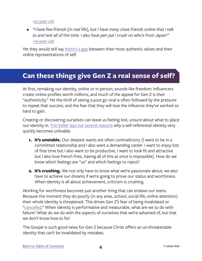<span id="page-6-0"></span>[-23-year](https://dscout.com/people-nerds/gen-z-identity)-[old](https://dscout.com/people-nerds/gen-z-identity)

*• "I have few friends {in real life}, but I have many close friends online that I talk to and text all of the time. I also have pen pal I crush on who's from Japan!"*  [-19-year-old](https://www.nytimes.com/interactive/2019/us/generation-z.html?action=click&module=RelatedLinks&pgtype=Article#127)

Yet they would still say [there's a gap](https://dscout.com/people-nerds/gen-z-identity) between their most authentic selves and their online representations of self.

#### **Can these things give Gen Z a real sense of self?**

At first, remaking our identity, online or in person, sounds like freedom. Influencers create online profiles worth millions, and much of the appeal for Gen Z is their "authenticity." Yet the thrill of seeing a post go viral is often followed by the pressure to repeat that success, and the fear that they will lose the influence they've worked so hard to gain.

Creating or discovering ourselves can leave us feeling lost, unsure about what to place our identity in. [Tim Keller lays out several reasons](https://www.youtube.com/watch?v=Ehw87PqTwKw) why a self-referential identity very quickly becomes unlivable.

- **1. It's unstable.** Our deepest wants are often contradictory (I want to be in a committed relationship and I also want a demanding career. I want to enjoy lots of free time but I also want to be productive. I want to look fit and attractive but I also love french fries...having all of this at once is impossible). How do we know which feelings are "us" and which feelings to reject?
- **2. It's crushing.** We not only have to know what we're passionate about, we also have to achieve our dreams if we're going to prove our status and worthiness. When identity is all about achievement, criticism is crushing.

Working for worthiness becomes just another thing that can enslave our teens. Because the moment they do poorly (in any area...school, social life, online attention) their whole identity is threatened. This drives Gen Z's fear of being invalidated or ["cancelled](https://en.wikipedia.org/wiki/Online_shaming#:~:text=The act of canceling%2C also,offensive recorded on social media)." When identity is performative and measurable, what are we to do with failure? What do we do with the aspects of ourselves that we're ashamed of, but that we don't know how to fix?

The Gospel is such good news for Gen Z because Christ offers an un-threatenable identity that can't be invalidated by mistakes.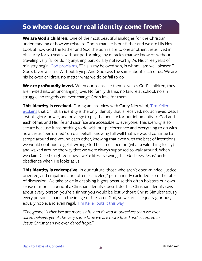#### <span id="page-7-0"></span>**So where does our real identity come from?**

**We are God's children.** One of the most beautiful analogies for the Christian understanding of how we relate to God is that He is our father and we are His kids. Look at how God the Father and God the Son relate to one another: Jesus lived in obscurity for 30 years, without performing any miracles that we know of, without traveling very far or doing anything particularly noteworthy. As His three years of ministry begin, [God proclaims,](https://www.bible.com/bible/114/MAT.3.NKJV) "This is my beloved son, in whom I am well pleased." God's favor was his. Without trying. And God says the same about each of us. We are his beloved children, no matter what we do or fail to do.

We are profoundly loved. When our teens see themselves as God's children, they are invited into an unchanging love. No family drama, no failure at school, no sin struggle, no tragedy can ever change God's love for them.

**This identity is received.** During an interview with Carey Nieuwhof, **Tim Keller** [explains](https://www.youtube.com/watch?v=zNve3Hexh28&feature=youtu.be) that Christian identity is the only identity that is received, not achieved. Jesus lost his glory, power, and privilege to pay the penalty for our inhumanity to God and each other, and His life and sacrifice are accessible to everyone. This identity is so secure because it has nothing to do with our performance and everything to do with how Jesus "performed" on our behalf. Knowing full well that we would continue to scrape around and wound each other, knowing that even with the best of intentions we would continue to get it wrong, God became a person (what a wild thing to say) and walked around the way that we were always supposed to walk around. When we claim Christ's righteousness, we're literally saying that God sees Jesus' perfect obedience when He looks at us.

**This identity is redemptive.** In our culture, those who aren't open-minded, justice oriented, and empathetic are often "canceled," permanently excluded from the table of discussion. We take pride in despising bigots because this often bolsters our own sense of moral superiority. Christian identity doesn't do this. Christian identity says about every person, you're a sinner, you would be lost without Christ. Simultaneously every person is made in the image of the same God, so we are all equally glorious, equally noble, and even regal. [Tim Keller puts it this way,](https://timothykeller.com/books/the-meaning-of-marriage)

*"The gospel is this: We are more sinful and flawed in ourselves than we ever dared believe, yet at the very same time we are more loved and accepted in Jesus Christ than we ever dared hope."*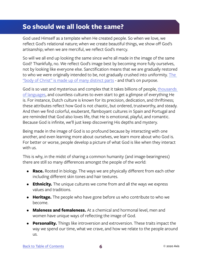#### <span id="page-8-0"></span>**So should we all look the same?**

God used Himself as a template when He created people. So when we love, we reflect God's relational nature; when we create beautiful things, we show off God's artisanship; when we are merciful, we reflect God's mercy.

So will we all end up looking the same since we're all made in the image of the same God? Thankfully, no. We reflect God's image best by becoming more fully ourselves, not by looking like everyone else. Sanctification means that we are gradually restored to who we were originally intended to be, not gradually crushed into uniformity. The ["body of Christ" is made up of many distinct parts](https://www.biblegateway.com/passage/?search=1+Corinthians+12%3A12-31&version=NIV) - and that's on purpose.

God is so vast and mysterious and complex that it takes billions of people, thousands [of languages](https://www.linguisticsociety.org/content/how-many-languages-are-there-world), and countless cultures to even start to get a glimpse of everything He is. For instance, Dutch culture is known for its precision, dedication, and thriftiness; these attributes reflect how God is not chaotic, but ordered, trustworthy, and steady. And then we find colorful, exuberant, flamboyant cultures in Spain and Portugal and are reminded that God also loves life, that He is emotional, playful, and romantic. Because God is infinite, we'll just keep discovering His depths and mystery.

Being made in the image of God is so profound because by interacting with one another, and even learning more about ourselves, we learn more about who God is. For better or worse, people develop a picture of what God is like when they interact with us.

This is why, in the midst of sharing a common humanity (and image-bearingness) there are still so many differences amongst the people of the world:

- **• Race.** Rooted in biology. The ways we are physically different from each other including different skin tones and hair textures.
- **• Ethnicity.** The unique cultures we come from and all the ways we express values and traditions.
- **• Heritage.** The people who have gone before us who contribute to who we become.
- **• Maleness and femaleness.** At a chemical and hormonal level, men and women have unique ways of reflecting the image of God.
- **• Personality.** Things like introversion and extroversion. These traits impact the way we spend our time, what we crave, and how we relate to the people around us.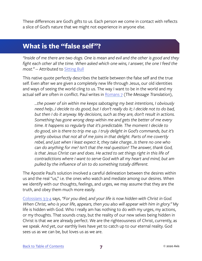<span id="page-9-0"></span>These differences are God's gifts to us. Each person we come in contact with reflects a slice of God's nature that we might not experience in anyone else.

#### **What is the "false self"?**

*"Inside of me there are two dogs. One is mean and evil and the other is good and they*  fight each other all the time. When asked which one wins, I answer, the one I feed the *most."* -- Attributed to [Sitting Bull](https://en.wikiquote.org/wiki/Sitting_Bull)

This native quote perfectly describes the battle between the false self and the true self. Even after we are given a completely new life through Jesus, our old identities and ways of seeing the world cling to us. The way I want to be in the world and my actual self are often in conflict. Paul writes in [Romans 7](https://www.biblegateway.com/passage/?search=Romans+7&version=MSG) (*The Message Translation*),

*...the power of sin within me keeps sabotaging my best intentions, I obviously need help...I decide to do good, but I don't really do it; I decide not to do bad, but then I do it anyway. My decisions, such as they are, don't result in actions. Something has gone wrong deep within me and gets the better of me every time. It happens so regularly that it's predictable. The moment I decide to do good, sin is there to trip me up. I truly delight in God's commands, but it's pretty obvious that not all of me joins in that delight. Parts of me covertly rebel, and just when I least expect it, they take charge...Is there no one who can do anything for me? Isn't that the real question? The answer, thank God, is that Jesus Christ can and does. He acted to set things right in this life of contradictions where I want to serve God with all my heart and mind, but am pulled by the influence of sin to do something totally different.*

The Apostle Paul's solution involved a careful delineation between the desires within us and the real "us," i.e. the ones who watch and mediate among our desires. When we identify with our thoughts, feelings, and urges, we may assume that they are the truth, and obey them much more easily.

[Colossians 3:3-4](https://www.biblegateway.com/passage/?search=Colossians+3&version=NIV) says, *"For you died, and your life is now hidden with Christ in God. When Christ, who is your life, appears, then you also will appear with him in glory."* My life is hidden with God. Who I really am has nothing to do with my urges, my actions, or my thoughts. That sounds crazy, but the reality of our new selves being hidden in Christ is that we are already perfect. We are the righteousness of Christ, currently, as we speak. And yet, our earthly lives have yet to catch up to our eternal reality. God sees us as we can be, but loves us as we are.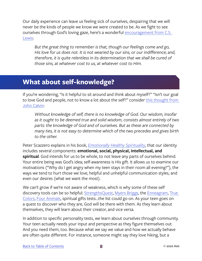<span id="page-10-0"></span>Our daily experience can leave us feeling sick of ourselves, despairing that we will never be the kinds of people we know we were created to be. As we fight to see ourselves through God's loving gaze, here's a wonderful encouragement from C.S. [Lewis:](https://www.amazon.com/Mere-Christianity-C-S-Lewis/dp/0060652926/ref=sr_1_2?dchild=1&keywords=mere+christianity&qid=1593444138&sr=8-2)

*But the great thing to remember is that, though our feelings come and go, His love for us does not. It is not wearied by our sins, or our indifference; and, therefore, it is quite relentless in its determination that we shall be cured of those sins, at whatever cost to us, at whatever cost to Him.*

#### **What about self-knowledge?**

If you're wondering, "Is it helpful to sit around and think about myself?" "Isn't our goal to love God and people, not to know a lot about the self?" consider [this thought from](https://reformed.org/books/institutes/books/book1/bk1ch01.html)  [John Calvin:](https://reformed.org/books/institutes/books/book1/bk1ch01.html)

*Without knowledge of self, there is no knowledge of God. Our wisdom, insofar as it ought to be deemed true and solid wisdom, consists almost entirely of two parts: the knowledge of God and of ourselves. But as these are connected by many ties, it is not easy to determine which of the two precedes and gives birth to the other.*

Peter Scazzero explains in his book, *[Emotionally Healthy Spirituality](https://www.amazon.com/dp/B011LULWWM/ref=dp-kindle-redirect?_encoding=UTF8&btkr=1)*, that our identity includes several components: **emotional, social, physical, intellectual, and spiritual**. God intends for us to be whole, to not leave any parts of ourselves behind. Your entire being was God's idea; self-awareness is His gift. It allows us to examine our motivations ("Why do I get angry when my teen stays in their room all evening?"), the ways we tend to hurt those we love, helpful and unhelpful communication styles, and even our desires (what we want the most).

We can't grow if we're not aware of weakness, which is why some of these self discovery tools can be so helpful: [StrengthsQuest](https://www.strengthsquest.com/home.aspx), [Myers Briggs](https://www.myersbriggs.org/my-mbti-personality-type/mbti-basics/), the [Enneagram,](https://www.enneagraminstitute.com/type-descriptions) [True](https://truecolorsintl.com/the-four-color-personalities/)  [Colors](https://truecolorsintl.com/the-four-color-personalities/), [Four Animals,](https://www.focusonthefamily.com/marriage/4-animals-personality-test/) spiritual gifts tests...the list could go on. As your teen goes on a quest to discover who they are, God will be there with them. As they learn about themselves, they will learn about their creator, and vice versa.

In addition to specific personality tests, we learn about ourselves through community. Your teen actually needs your input and perspective as they figure themselves out. And you need them, too. Because what we say we value and how we actually behave are often quite different. For instance, someone might say they love hiking, but a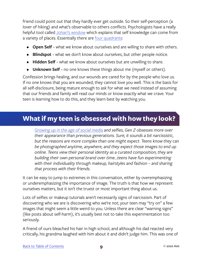<span id="page-11-0"></span>friend could point out that they hardly ever get outside. So their self-perception (a lover of hiking) and what's observable to others conflicts. Psychologists have a really helpful tool called [Johari's window](https://www.communicationtheory.org/the-johari-window-model/) which explains that self knowledge can come from a variety of places. Essentially there are [four quadrants](https://www.communicationtheory.org/wp-content/uploads/2013/01/johari-model.jpg):

- **• Open Self** ~ what we know about ourselves and are willing to share with others.
- **Blindspot** ~ what we don't know about ourselves, but other people notice.
- **• Hidden Self** ~ what we know about ourselves but are unwilling to share.
- **• Unknown Self** ~ no one knows these things about me (myself or others).

Confession brings healing, and our wounds are cared for by the people who love us. If no one knows that you are wounded, they cannot love you well. This is the basis for all self-disclosure, being mature enough to ask for what we need instead of assuming that our friends and family will read our minds or know exactly what we crave. Your teen is learning how to do this, and they learn best by watching you.

#### **What if my teen is obsessed with how they look?**

*[Growing up in the age of social media](http://www.millennialmarketing.com/2018/01/the-influence-of-identity-what-gen-z-wants-from-the-beauty-industry/) and selfies, Gen Z obsesses more over their appearance than previous generations. Sure, it sounds a bit narcissistic, but the reasons are more complex than one might expect. Teens know they* can *be photographed anytime, anywhere, and they expect those images to end up online. Teens view their personal identity as a curated composition; they are building their own personal brand over time...teens have fun experimenting with their individuality through makeup, hairstyles and fashion – and sharing that process with their friends.* 

It can be easy to jump to extremes in this conversation, either by overemphasizing or underemphasizing the importance of image. The truth is that how we represent ourselves matters, but it isn't the truest or most important thing about us.

Lots of selfies or makeup tutorials aren't necessarily signs of narcissism. Part of discovering who we are is discovering who we're not; your teen may "try on" a few images that might seem a little weird to you. Unless there are clear "warning signs" (like posts about self-harm), it's usually best not to take this experimentation too seriously.

A friend of ours bleached his hair in high school, and although his dad reacted very critically, his grandma laughed with him about it and didn't judge him. This was one of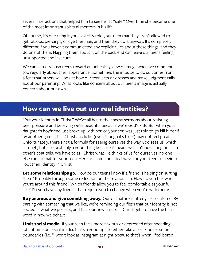<span id="page-12-0"></span>several interactions that helped him to see her as "safe." Over time she became one of the most important spiritual mentors in his life.

Of course, it's one thing if you explicitly told your teen that they aren't allowed to get tattoos, piercings, or dye their hair, and then they do it anyway. It's completely different if you haven't communicated any explicit rules about these things, and they do one of them. Nagging them about it on the back end can leave our teens feeling unsupported and insecure.

We can actually push teens toward an unhealthy view of image when we comment too regularly about their appearance. Sometimes the impulse to do so comes from a fear that others will look at how our teen acts or dresses and make judgment calls about our parenting. What looks like concern about our teen's image is actually concern about our own.

#### **How can we live out our real identities?**

"Put your identity in Christ." We've all heard the cheesy sermons about resisting peer pressure and believing we're beautiful because we're God's kids. But when your daughter's boyfriend just broke up with her, or your son was just told to go kill himself by another gamer, this Christian cliche (even though it's true!) may not feel great. Unfortunately, there's not a formula for seeing ourselves the way God sees us, which is tough, but also probably a good thing because it means we can't ride along on each other's coat tails. We have to ask Christ what He thinks of us for ourselves; no one else can do that for your teen. Here are some practical ways for your teen to begin to root their identity in Christ.

**Let some relationships go.** How do our teens know if a friend is helping or hurting them? Probably through some reflection on the relationship. How do you feel when you're around this friend? Which friends allow you to feel comfortable as your full self? Do you have any friends that require you to change when you're with them?

**Be generous and give something away.** Our old nature is utterly self-centered. By parting with something that we like, we're reminding our flesh that our identity is not rooted in what we possess, and that our new nature in Christ gets to have the final word in how we behave.

**Limit social media.** If your teen feels more anxious or depressed after spending lots of time on social media, that's a good sign to either take a break or set some boundaries (i.e. "I won't look at Instagram at night because that's when I feel bored,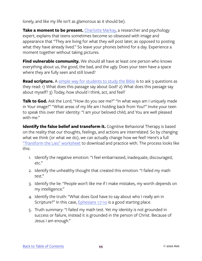lonely, and like my life isn't as glamorous as it should be).

**Take a moment to be present.** [Charlotte Markay](https://news.camden.rutgers.edu/2019/12/expert-offers-tips-to-help-teens-deal-with-social-media-related-stress-this-holiday-season/), a researcher and psychology expert, explains that teens sometimes become so obsessed with image and appearance that "They are living for what they will post later, as opposed to posting what they have already lived." So leave your phones behind for a day. Experience a moment together without taking pictures.

**Find vulnerable community.** We should all have at least one person who knows everything about us, the good, the bad, and the ugly. Does your teen have a space where they are fully seen and still loved?

**Read scripture.** A [simple way for students to study the Bible](https://gracechurchsc.org/wp-content/uploads/2011/03/15_studythebible.pdf) is to ask 3 questions as they read: 1) What does this passage say about God? 2) What does this passage say about myself? 3) Today, how should I think, act, and feel?

**Talk to God.** Ask the Lord, "How do you see me?" "In what ways am I uniquely made in Your image?" "What areas of my life am I holding back from You?" Invite your teen to speak this over their identity: "I am your beloved child, and You are well pleased with me."

**Identify the false belief and transform it.** Cognitive Behavioral Therapy is based on the reality that our thoughts, feelings, and actions are interrelated. So by changing what we think (or what we do), we can actually change how we feel! Here's a full ["Transform the Lies" worksheet](https://drive.google.com/file/d/0B4bYNMXHy4PpY2dURHlhMnRPc1k/view) to download and practice with. The process looks like this:

- 1. Identify the negative emotion: "I feel embarrassed, inadequate, discouraged, etc."
- 2. Identify the unhealthy thought that created this emotion: "I failed my math test."
- 3. Identify the lie: "People won't like me if I make mistakes, my worth depends on my intelligence."
- 4. Identify the truth: "What does God have to say about who I really am in Scripture?" In this case, *Ephesians 1:7-10* is a good starting place.
- 5. Truth summary: "I failed my math test. Yet my identity is not grounded in success or failure, instead it is grounded in the person of Christ. Because of Jesus I am enough."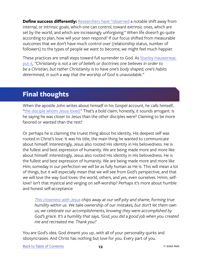<span id="page-14-0"></span>**Define success differently:** [Researchers have "observed](https://qz.com/642351/is-the-way-we-parent-causing-a-mental-health-crisis-in-our-kids/?utm_content=bufferd6e58&utm_medium=social&utm_source=twitter.com&utm_campaign=buffer) a notable shift away from internal, or intrinsic goals, which one can control, toward extrinsic ones, which are set by the world, and which are increasingly unforgiving." When life doesn't go quite according to plan, how will your teen respond? If our focus shifted from measurable outcomes that we don't have much control over (relationship status, number of followers) to the types of people we want to become, we might feel much happier.

These practices are small steps toward full surrender to God. As Stanley Hauwerwas [put it,](https://www.amazon.com/Sanctify-them-Truth-Exemplified-Cornerstones/dp/0567658066) *"Christianity is not a set of beliefs or doctrines one believes in order to be a Christian, but rather Christianity is to have one's body shaped, one's habits determined, in such a way that the worship of God is unavoidable."*

#### **Final thoughts**

When the apostle John writes about himself in his Gospel account, he calls himself, ["the disciple whom Jesus loved."](https://www.biblegateway.com/passage/?search=John+13%3A23&version=NIV) That's a bold claim; honestly, it sounds arrogant. Is he saying he was closer to Jesus than the other disciples were? Claiming to be more favored or wanted than the rest?

Or perhaps he is claiming the truest thing about his identity. His deepest self was rooted in Christ's love. It was his title, the main thing he wanted to communicate about himself. Interestingly, Jesus also rooted His identity in His belovedness. He is the fullest and best expression of humanity. We are being made more and more like about himself. Interestingly, Jesus also rooted His identity in His belovedness. He is the fullest and best expression of humanity. We are being made more and more like Him; someday in our perfection we will be as fully human as He is. This will mean a lot of things, but it will especially mean that we will see from God's perspective, and that we will love the way God loves: the world, others, and yes, even ourselves. Hmm, selflove? Isn't that mystical and verging on self-worship? Perhaps it's more about humble and honest self-acceptance:

*[This closeness with Jesus](https://thelife.com/go-love-yourself) chips away at our self-pity and shame, forming true humility within us. We take ownership of our mistakes, but don't let them own us; we celebrate our accomplishments, knowing they were accomplished by God's grace. It's a humility that says, 'God, you did a good job when you created me and recreated me. Thank you!'*

You are God's idea. God dreamt you up...with all of your personality quirks and idiosyncrasies. And Christ has nothing but love for you. Every part of you.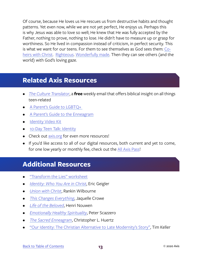<span id="page-15-0"></span>Of course, because He loves us He rescues us from destructive habits and thought patterns. Yet even now, while we are not yet perfect, He enjoys us. Perhaps this is why Jesus was able to love so well; He knew that He was fully accepted by the Father, nothing to prove, nothing to lose. He didn't have to measure up or grasp for worthiness. So He lived in compassion instead of criticism, in perfect security. This is what we want for our teens. For them to see themselves as God sees them: [Co](https://www.biblegateway.com/passage/?search=Romans+8%3A17&version=NIV)[heirs with Christ](https://www.biblegateway.com/passage/?search=Romans+8%3A17&version=NIV). [Righteous](https://www.biblegateway.com/passage/?search=2+Corinthians+5%3A21&version=NIV). [Wonderfully made](https://www.biblegateway.com/passage/?search=Psalm+139&version=NIV). Then they can see others (and the world) with God's loving gaze.

#### **Related Axis Resources**

- *• [The Culture Translator](http://axis.org/ct)*, a **free** weekly email that offers biblical insight on all things teen-related
- [A Parent's Guide to LGBTQ+](https://axis.org/product/a-parents-guide-to-lgbtq-your-teen/)
- [A Parent's Guide to the Enneagram](https://axis.org/product/a-parents-guide-to-the-enneagram/)
- **[Identity Video Kit](https://axis.org/product/identity/)**
- [10-Day Teen Talk: Identity](https://axis.org/product/membership-product-for-teen-talk-on-identity/)
- Check out [axis.org](https://axis.org) for even more resources!
- If you'd like access to all of our digital resources, both current and yet to come, for one low yearly or monthly fee, check out the [All Axis Pass](https://axis.org/aap)!

#### **Additional Resources**

- ["Transform the Lies" worksheet](https://drive.google.com/file/d/0B4bYNMXHy4PpY2dURHlhMnRPc1k/view)
- *• [Identity: Who You Are in Christ](https://www.amazon.com/Identity-Who-You-Are-Christ/dp/0805446893/ref=sr_1_9?keywords=identity&qid=1555103604&s=gateway&sr=8-9)*, Eric Geigler
- *• [Union with Christ](https://www.amazon.com/Union-Christ-Way-Know-Enjoy-ebook/dp/B01E4TGTJS/ref=sr_1_1?crid=2NF3S2V5F529A&keywords=union+with+christ+rankin+wilbourne&qid=1555103750&s=gateway&sprefix=union+with+Ch%2Caps%2C149&sr=8-1)*, Rankin Wilbourne
- *• [This Changes Everything](https://www.amazon.com/This-Changes-Everything-Gospel-Transforms/dp/143355514X/ref=sr_1_6?crid=3SQZICVL1DHXE&keywords=this+changes+everything&qid=1555103798&s=gateway&sprefix=This+changes+%2Caps%2C142&sr=8-6)*, Jaquelle Crowe
- *• [Life of the Beloved](https://www.amazon.com/Life-Beloved-Spiritual-Living-Secular/dp/0824519868#ace-g1639449406)*, Henri Nouwen
- *• [Emotionally Healthy Spirituality](https://www.amazon.com/dp/B011LULWWM/ref=dp-kindle-redirect?_encoding=UTF8&btkr=1)*, Peter Scazzero
- *• [The Sacred Enneagram](https://www.amazon.com/Sacred-Enneagram-Finding-Unique-Spiritual/dp/0310348277)*, Christopher L. Huertz
- ["Our Identity: The Christian Alternative to Late Modernity's Story"](https://www.youtube.com/watch?v=Ehw87PqTwKw), Tim Keller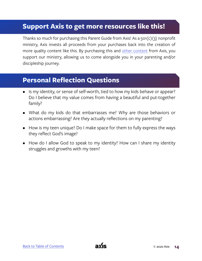#### **Support Axis to get more resources like this!**

Thanks so much for purchasing this Parent Guide from Axis! As a 501(c)(3) nonprofit ministry, Axis invests all proceeds from your purchases back into the creation of more quality content like this. By purchasing this and [other content](https://axis.org) from Axis, you support our ministry, allowing us to come alongside you in your parenting and/or discipleship journey.

#### **Personal Reflection Questions**

- Is my identity, or sense of self-worth, tied to how my kids behave or appear? Do I believe that my value comes from having a beautiful and put-together family?
- What do my kids do that embarrasses me? Why are those behaviors or actions embarrassing? Are they actually reflections on my parenting?
- How is my teen unique? Do I make space for them to fully express the ways they reflect God's image?
- How do I allow God to speak to my identity? How can I share my identity struggles and growths with my teen?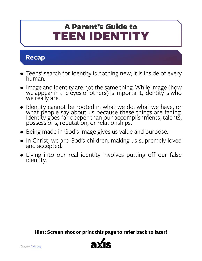## <span id="page-17-0"></span>TEEN IDENTITY A Parent's Guide to

#### **Recap**

- Teens' search for identity is nothing new; it is inside of every human.
- Image and Identity are not the same thing. While image (how we appear in the eyes of others) is important, identity is who we really are.
- Identity cannot be rooted in what we do, what we have, or what people say about us because [these things are fading](https://www.biblegateway.com/passage/?search=Matthew+6%3A19&version=NLT). Identity goes far deeper than our accomplishments, talents, possessions, reputation, or relationships.
- Being made in God's image gives us value and purpose.
- In Christ, we are God's children, making us supremely loved and accepted.
- Living into our real identity involves putting off our false identity.

**Hint: Screen shot or print this page to refer back to later!**